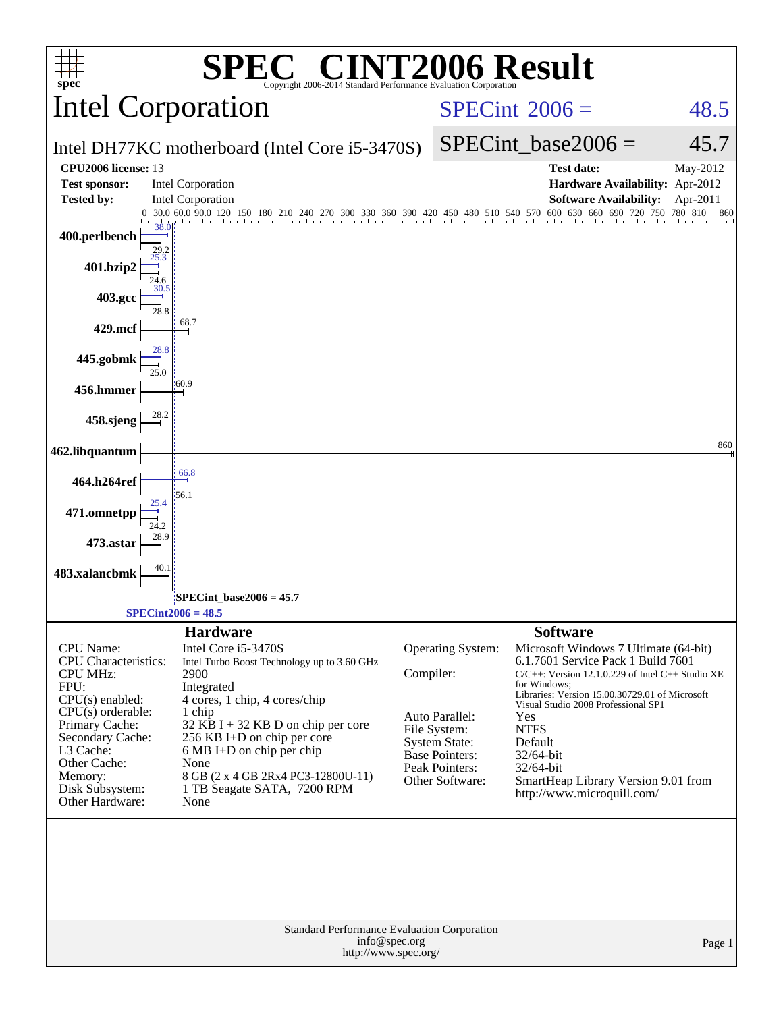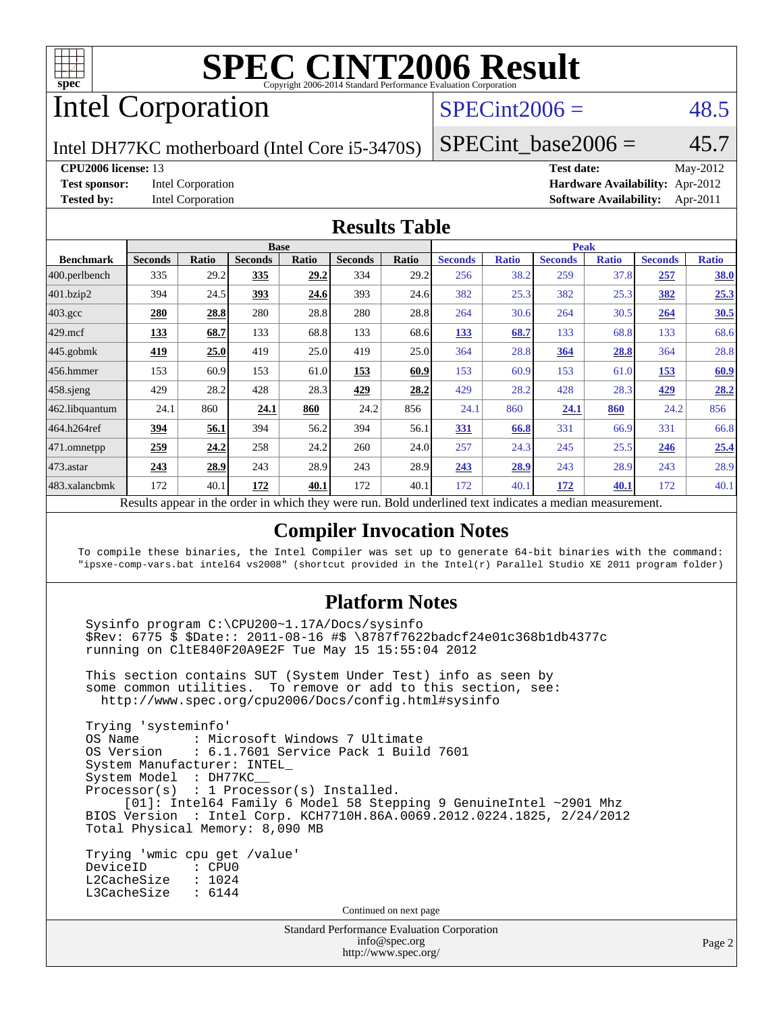

# Intel Corporation

## $SPECint2006 = 48.5$  $SPECint2006 = 48.5$

Intel DH77KC motherboard (Intel Core i5-3470S)

**[CPU2006 license:](http://www.spec.org/auto/cpu2006/Docs/result-fields.html#CPU2006license)** 13 **[Test date:](http://www.spec.org/auto/cpu2006/Docs/result-fields.html#Testdate)** May-2012 **[Test sponsor:](http://www.spec.org/auto/cpu2006/Docs/result-fields.html#Testsponsor)** Intel Corporation **[Hardware Availability:](http://www.spec.org/auto/cpu2006/Docs/result-fields.html#HardwareAvailability)** Apr-2012 **[Tested by:](http://www.spec.org/auto/cpu2006/Docs/result-fields.html#Testedby)** Intel Corporation **[Software Availability:](http://www.spec.org/auto/cpu2006/Docs/result-fields.html#SoftwareAvailability)** Apr-2011

SPECint base2006 =  $45.7$ 

#### **[Results Table](http://www.spec.org/auto/cpu2006/Docs/result-fields.html#ResultsTable)**

|                |              |                | <b>Base</b>  |                |       |                |              | <b>Peak</b>                                                                                       |                 |                |              |
|----------------|--------------|----------------|--------------|----------------|-------|----------------|--------------|---------------------------------------------------------------------------------------------------|-----------------|----------------|--------------|
| <b>Seconds</b> | <b>Ratio</b> | <b>Seconds</b> | <b>Ratio</b> | <b>Seconds</b> | Ratio | <b>Seconds</b> | <b>Ratio</b> | <b>Seconds</b>                                                                                    | <b>Ratio</b>    | <b>Seconds</b> | <b>Ratio</b> |
| 335            | 29.2         | 335            | 29.2         | 334            | 29.2  | 256            | 38.2         | 259                                                                                               | 37.8            | 257            | 38.0         |
| 394            | 24.5         | 393            | 24.6         | 393            |       | 382            | 25.3         | 382                                                                                               | 25.3            | 382            | 25.3         |
| 280            | 28.8         | 280            | 28.8         | 280            | 28.8  | 264            |              | 264                                                                                               | 30.5            | 264            | 30.5         |
| 133            | 68.7         | 133            | 68.8         | 133            | 68.6  | 133            | 68.7         | 133                                                                                               | 68.8            | 133            | 68.6         |
| 419            | 25.0         | 419            | 25.0         | 419            |       | 364            | 28.8         | 364                                                                                               | 28.8            | 364            | 28.8         |
| 153            | 60.9         | 153            | 61.0         | 153            | 60.9  | 153            | 60.9         | 153                                                                                               | 61.0            | 153            | 60.9         |
| 429            | 28.2         | 428            | 28.3         | 429            | 28.2  | 429            | 28.2         | 428                                                                                               | 28.3            | 429            | 28.2         |
| 24.1           | 860          | 24.1           | 860          | 24.2           | 856   | 24.1           | 860          | 24.1                                                                                              | 860             | 24.2           | 856          |
| 394            | 56.1         | 394            | 56.2         | 394            | 56.1  | 331            | 66.8         | 331                                                                                               | 66.9            | 331            | 66.8         |
| 259            | 24.2         | 258            | 24.2         | 260            | 24.0  | 257            | 24.3         | 245                                                                                               | 25.5            | 246            | 25.4         |
| 243            | 28.9         | 243            | 28.9         | 243            | 28.9  | 243            | 28.9         | 243                                                                                               | 28.9            | 243            | 28.9         |
| 172            | 40.1         | 172            | 40.1         | 172            | 40.1  | 172            | 40.1         | 172                                                                                               | <b>40.1</b>     | 172            | 40.1         |
|                |              |                |              |                |       |                | 24.6<br>25.0 | $\mathbf{1}$<br>1.7.1.1<br>$\cdot$ $\cdot$<br>$n$ 11<br>$\mathbf{1}$ $\mathbf{1}$<br>$\mathbf{1}$ | 30.6<br>$\cdot$ |                |              |

Results appear in the [order in which they were run.](http://www.spec.org/auto/cpu2006/Docs/result-fields.html#RunOrder) Bold underlined text [indicates a median measurement.](http://www.spec.org/auto/cpu2006/Docs/result-fields.html#Median)

#### **[Compiler Invocation Notes](http://www.spec.org/auto/cpu2006/Docs/result-fields.html#CompilerInvocationNotes)**

To compile these binaries, the Intel Compiler was set up to generate 64-bit binaries with the command: "ipsxe-comp-vars.bat intel64 vs2008" (shortcut provided in the Intel(r) Parallel Studio XE 2011 program folder)

#### **[Platform Notes](http://www.spec.org/auto/cpu2006/Docs/result-fields.html#PlatformNotes)**

 Sysinfo program C:\CPU200~1.17A/Docs/sysinfo \$Rev: 6775 \$ \$Date:: 2011-08-16 #\$ \8787f7622badcf24e01c368b1db4377c running on CltE840F20A9E2F Tue May 15 15:55:04 2012

 This section contains SUT (System Under Test) info as seen by some common utilities. To remove or add to this section, see: <http://www.spec.org/cpu2006/Docs/config.html#sysinfo>

 Trying 'systeminfo' : Microsoft Windows 7 Ultimate OS Version : 6.1.7601 Service Pack 1 Build 7601 System Manufacturer: INTEL\_ System Model : DH77KC\_\_ Processor(s) : 1 Processor(s) Installed. [01]: Intel64 Family 6 Model 58 Stepping 9 GenuineIntel ~2901 Mhz BIOS Version : Intel Corp. KCH7710H.86A.0069.2012.0224.1825, 2/24/2012 Total Physical Memory: 8,090 MB

 Trying 'wmic cpu get /value' DeviceID : CPU0 L2CacheSize : 1024 L3CacheSize : 6144

Continued on next page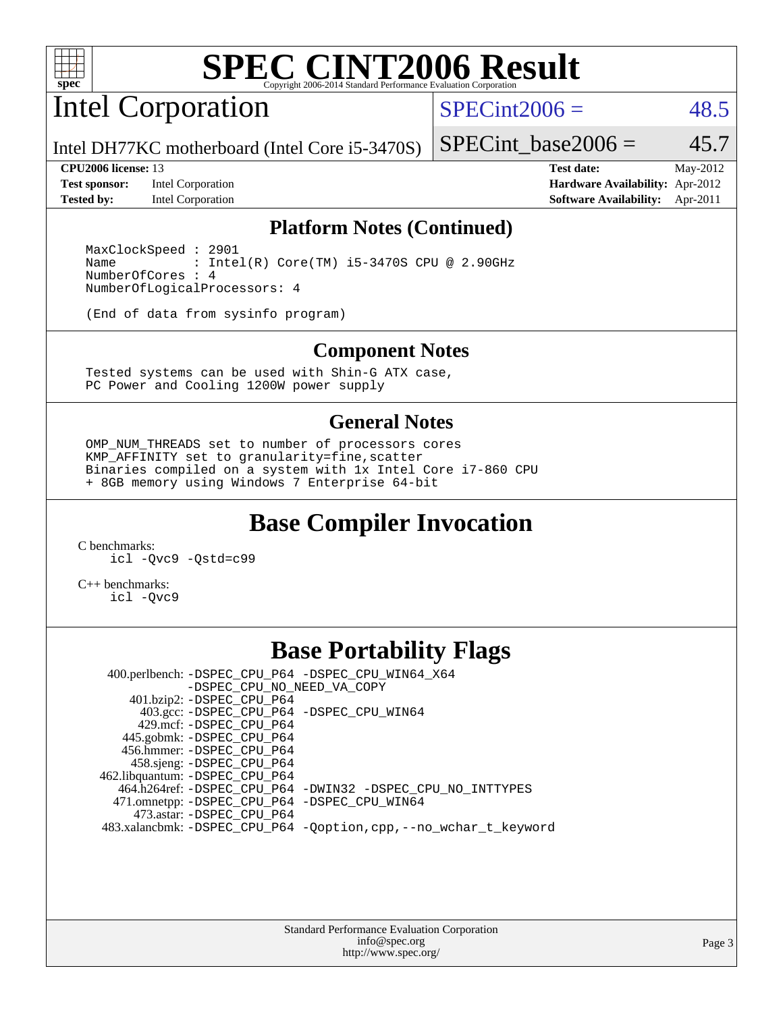

Intel Corporation

 $SPECint2006 = 48.5$  $SPECint2006 = 48.5$ 

Intel DH77KC motherboard (Intel Core i5-3470S)

**[Test sponsor:](http://www.spec.org/auto/cpu2006/Docs/result-fields.html#Testsponsor)** Intel Corporation **[Hardware Availability:](http://www.spec.org/auto/cpu2006/Docs/result-fields.html#HardwareAvailability)** Apr-2012 **[Tested by:](http://www.spec.org/auto/cpu2006/Docs/result-fields.html#Testedby)** Intel Corporation **[Software Availability:](http://www.spec.org/auto/cpu2006/Docs/result-fields.html#SoftwareAvailability)** Apr-2011

SPECint base2006 =  $45.7$ 

**[CPU2006 license:](http://www.spec.org/auto/cpu2006/Docs/result-fields.html#CPU2006license)** 13 **[Test date:](http://www.spec.org/auto/cpu2006/Docs/result-fields.html#Testdate)** May-2012

#### **[Platform Notes \(Continued\)](http://www.spec.org/auto/cpu2006/Docs/result-fields.html#PlatformNotes)**

 MaxClockSpeed : 2901 Name : Intel(R) Core(TM) i5-3470S CPU @ 2.90GHz NumberOfCores : 4 NumberOfLogicalProcessors: 4

(End of data from sysinfo program)

#### **[Component Notes](http://www.spec.org/auto/cpu2006/Docs/result-fields.html#ComponentNotes)**

 Tested systems can be used with Shin-G ATX case, PC Power and Cooling 1200W power supply

#### **[General Notes](http://www.spec.org/auto/cpu2006/Docs/result-fields.html#GeneralNotes)**

 OMP\_NUM\_THREADS set to number of processors cores KMP\_AFFINITY set to granularity=fine,scatter Binaries compiled on a system with 1x Intel Core i7-860 CPU + 8GB memory using Windows 7 Enterprise 64-bit

## **[Base Compiler Invocation](http://www.spec.org/auto/cpu2006/Docs/result-fields.html#BaseCompilerInvocation)**

[C benchmarks](http://www.spec.org/auto/cpu2006/Docs/result-fields.html#Cbenchmarks):

[icl -Qvc9](http://www.spec.org/cpu2006/results/res2012q3/cpu2006-20120702-23392.flags.html#user_CCbase_intel_icc_vc9_6b5741b4033b9dc48df324263d9561bc) [-Qstd=c99](http://www.spec.org/cpu2006/results/res2012q3/cpu2006-20120702-23392.flags.html#user_CCbase_intel_compiler_c99_mode_1a3d110e3041b3ad4466830521bdad2a)

[C++ benchmarks:](http://www.spec.org/auto/cpu2006/Docs/result-fields.html#CXXbenchmarks) [icl -Qvc9](http://www.spec.org/cpu2006/results/res2012q3/cpu2006-20120702-23392.flags.html#user_CXXbase_intel_icc_vc9_6b5741b4033b9dc48df324263d9561bc)

## **[Base Portability Flags](http://www.spec.org/auto/cpu2006/Docs/result-fields.html#BasePortabilityFlags)**

 400.perlbench: [-DSPEC\\_CPU\\_P64](http://www.spec.org/cpu2006/results/res2012q3/cpu2006-20120702-23392.flags.html#b400.perlbench_basePORTABILITY_DSPEC_CPU_P64) [-DSPEC\\_CPU\\_WIN64\\_X64](http://www.spec.org/cpu2006/results/res2012q3/cpu2006-20120702-23392.flags.html#b400.perlbench_baseCPORTABILITY_DSPEC_CPU_WIN64_X64) [-DSPEC\\_CPU\\_NO\\_NEED\\_VA\\_COPY](http://www.spec.org/cpu2006/results/res2012q3/cpu2006-20120702-23392.flags.html#b400.perlbench_baseCPORTABILITY_DSPEC_CPU_NO_NEED_VA_COPY) 401.bzip2: [-DSPEC\\_CPU\\_P64](http://www.spec.org/cpu2006/results/res2012q3/cpu2006-20120702-23392.flags.html#suite_basePORTABILITY401_bzip2_DSPEC_CPU_P64) 403.gcc: [-DSPEC\\_CPU\\_P64](http://www.spec.org/cpu2006/results/res2012q3/cpu2006-20120702-23392.flags.html#suite_basePORTABILITY403_gcc_DSPEC_CPU_P64) [-DSPEC\\_CPU\\_WIN64](http://www.spec.org/cpu2006/results/res2012q3/cpu2006-20120702-23392.flags.html#b403.gcc_baseCPORTABILITY_DSPEC_CPU_WIN64) 429.mcf: [-DSPEC\\_CPU\\_P64](http://www.spec.org/cpu2006/results/res2012q3/cpu2006-20120702-23392.flags.html#suite_basePORTABILITY429_mcf_DSPEC_CPU_P64) 445.gobmk: [-DSPEC\\_CPU\\_P64](http://www.spec.org/cpu2006/results/res2012q3/cpu2006-20120702-23392.flags.html#suite_basePORTABILITY445_gobmk_DSPEC_CPU_P64) 456.hmmer: [-DSPEC\\_CPU\\_P64](http://www.spec.org/cpu2006/results/res2012q3/cpu2006-20120702-23392.flags.html#suite_basePORTABILITY456_hmmer_DSPEC_CPU_P64) 458.sjeng: [-DSPEC\\_CPU\\_P64](http://www.spec.org/cpu2006/results/res2012q3/cpu2006-20120702-23392.flags.html#suite_basePORTABILITY458_sjeng_DSPEC_CPU_P64) 462.libquantum: [-DSPEC\\_CPU\\_P64](http://www.spec.org/cpu2006/results/res2012q3/cpu2006-20120702-23392.flags.html#suite_basePORTABILITY462_libquantum_DSPEC_CPU_P64) 464.h264ref: [-DSPEC\\_CPU\\_P64](http://www.spec.org/cpu2006/results/res2012q3/cpu2006-20120702-23392.flags.html#suite_basePORTABILITY464_h264ref_DSPEC_CPU_P64) [-DWIN32](http://www.spec.org/cpu2006/results/res2012q3/cpu2006-20120702-23392.flags.html#b464.h264ref_baseCPORTABILITY_DWIN32) [-DSPEC\\_CPU\\_NO\\_INTTYPES](http://www.spec.org/cpu2006/results/res2012q3/cpu2006-20120702-23392.flags.html#b464.h264ref_baseCPORTABILITY_DSPEC_CPU_NO_INTTYPES) 471.omnetpp: [-DSPEC\\_CPU\\_P64](http://www.spec.org/cpu2006/results/res2012q3/cpu2006-20120702-23392.flags.html#suite_basePORTABILITY471_omnetpp_DSPEC_CPU_P64) [-DSPEC\\_CPU\\_WIN64](http://www.spec.org/cpu2006/results/res2012q3/cpu2006-20120702-23392.flags.html#b471.omnetpp_baseCXXPORTABILITY_DSPEC_CPU_WIN64) 473.astar: [-DSPEC\\_CPU\\_P64](http://www.spec.org/cpu2006/results/res2012q3/cpu2006-20120702-23392.flags.html#suite_basePORTABILITY473_astar_DSPEC_CPU_P64) 483.xalancbmk: [-DSPEC\\_CPU\\_P64](http://www.spec.org/cpu2006/results/res2012q3/cpu2006-20120702-23392.flags.html#suite_basePORTABILITY483_xalancbmk_DSPEC_CPU_P64) [-Qoption,cpp,--no\\_wchar\\_t\\_keyword](http://www.spec.org/cpu2006/results/res2012q3/cpu2006-20120702-23392.flags.html#user_baseCXXPORTABILITY483_xalancbmk_f-no_wchar_t_keyword_ec0ad4495a16b4e858bfcb29d949d25d)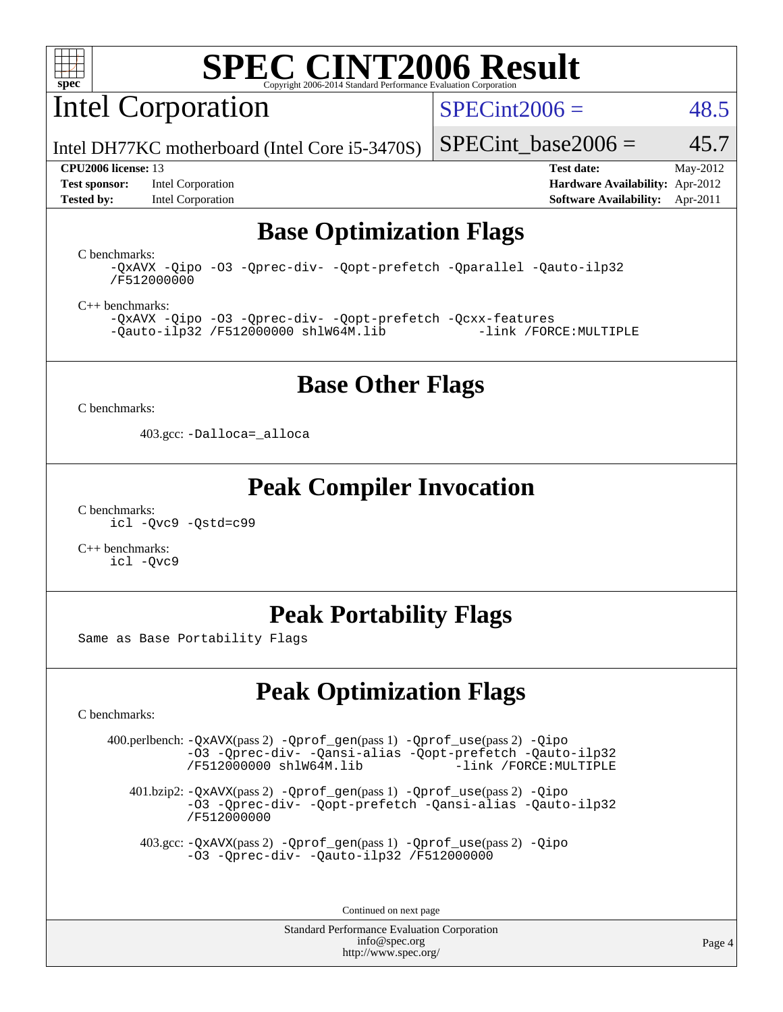

Intel Corporation

 $SPECint2006 = 48.5$  $SPECint2006 = 48.5$ 

Intel DH77KC motherboard (Intel Core i5-3470S)

**[Tested by:](http://www.spec.org/auto/cpu2006/Docs/result-fields.html#Testedby)** Intel Corporation **[Software Availability:](http://www.spec.org/auto/cpu2006/Docs/result-fields.html#SoftwareAvailability)** Apr-2011

**[CPU2006 license:](http://www.spec.org/auto/cpu2006/Docs/result-fields.html#CPU2006license)** 13 **[Test date:](http://www.spec.org/auto/cpu2006/Docs/result-fields.html#Testdate)** May-2012 **[Test sponsor:](http://www.spec.org/auto/cpu2006/Docs/result-fields.html#Testsponsor)** Intel Corporation **[Hardware Availability:](http://www.spec.org/auto/cpu2006/Docs/result-fields.html#HardwareAvailability)** Apr-2012

SPECint base2006 =  $45.7$ 

## **[Base Optimization Flags](http://www.spec.org/auto/cpu2006/Docs/result-fields.html#BaseOptimizationFlags)**

[C benchmarks](http://www.spec.org/auto/cpu2006/Docs/result-fields.html#Cbenchmarks):

[-QxAVX](http://www.spec.org/cpu2006/results/res2012q3/cpu2006-20120702-23392.flags.html#user_CCbase_f-QxAVX) [-Qipo](http://www.spec.org/cpu2006/results/res2012q3/cpu2006-20120702-23392.flags.html#user_CCbase_f-Qipo) [-O3](http://www.spec.org/cpu2006/results/res2012q3/cpu2006-20120702-23392.flags.html#user_CCbase_f-O3) [-Qprec-div-](http://www.spec.org/cpu2006/results/res2012q3/cpu2006-20120702-23392.flags.html#user_CCbase_f-Qprec-div-) [-Qopt-prefetch](http://www.spec.org/cpu2006/results/res2012q3/cpu2006-20120702-23392.flags.html#user_CCbase_f-Qprefetch_37c211608666b9dff9380561f602f0a8) [-Qparallel](http://www.spec.org/cpu2006/results/res2012q3/cpu2006-20120702-23392.flags.html#user_CCbase_f-Qparallel) [-Qauto-ilp32](http://www.spec.org/cpu2006/results/res2012q3/cpu2006-20120702-23392.flags.html#user_CCbase_f-Qauto-ilp32) [/F512000000](http://www.spec.org/cpu2006/results/res2012q3/cpu2006-20120702-23392.flags.html#user_CCbase_set_stack_space_98438a10eb60aa5f35f4c79d9b9b27b1)

[C++ benchmarks:](http://www.spec.org/auto/cpu2006/Docs/result-fields.html#CXXbenchmarks)

[-QxAVX](http://www.spec.org/cpu2006/results/res2012q3/cpu2006-20120702-23392.flags.html#user_CXXbase_f-QxAVX) [-Qipo](http://www.spec.org/cpu2006/results/res2012q3/cpu2006-20120702-23392.flags.html#user_CXXbase_f-Qipo) [-O3](http://www.spec.org/cpu2006/results/res2012q3/cpu2006-20120702-23392.flags.html#user_CXXbase_f-O3) [-Qprec-div-](http://www.spec.org/cpu2006/results/res2012q3/cpu2006-20120702-23392.flags.html#user_CXXbase_f-Qprec-div-) [-Qopt-prefetch](http://www.spec.org/cpu2006/results/res2012q3/cpu2006-20120702-23392.flags.html#user_CXXbase_f-Qprefetch_37c211608666b9dff9380561f602f0a8) [-Qcxx-features](http://www.spec.org/cpu2006/results/res2012q3/cpu2006-20120702-23392.flags.html#user_CXXbase_f-Qcxx_features_dbf36c8a6dba956e22f1645e4dcd4d98)  $-Qauto-ilp32 /F512000000$  $-Qauto-ilp32 /F512000000$  $-Qauto-ilp32 /F512000000$  [shlW64M.lib](http://www.spec.org/cpu2006/results/res2012q3/cpu2006-20120702-23392.flags.html#user_CXXbase_SmartHeap64_c4f7f76711bdf8c0633a5c1edf6e5396)

### **[Base Other Flags](http://www.spec.org/auto/cpu2006/Docs/result-fields.html#BaseOtherFlags)**

[C benchmarks](http://www.spec.org/auto/cpu2006/Docs/result-fields.html#Cbenchmarks):

403.gcc: [-Dalloca=\\_alloca](http://www.spec.org/cpu2006/results/res2012q3/cpu2006-20120702-23392.flags.html#b403.gcc_baseEXTRA_CFLAGS_Dalloca_be3056838c12de2578596ca5467af7f3)

### **[Peak Compiler Invocation](http://www.spec.org/auto/cpu2006/Docs/result-fields.html#PeakCompilerInvocation)**

[C benchmarks](http://www.spec.org/auto/cpu2006/Docs/result-fields.html#Cbenchmarks): [icl -Qvc9](http://www.spec.org/cpu2006/results/res2012q3/cpu2006-20120702-23392.flags.html#user_CCpeak_intel_icc_vc9_6b5741b4033b9dc48df324263d9561bc) [-Qstd=c99](http://www.spec.org/cpu2006/results/res2012q3/cpu2006-20120702-23392.flags.html#user_CCpeak_intel_compiler_c99_mode_1a3d110e3041b3ad4466830521bdad2a)

[C++ benchmarks:](http://www.spec.org/auto/cpu2006/Docs/result-fields.html#CXXbenchmarks) [icl -Qvc9](http://www.spec.org/cpu2006/results/res2012q3/cpu2006-20120702-23392.flags.html#user_CXXpeak_intel_icc_vc9_6b5741b4033b9dc48df324263d9561bc)

## **[Peak Portability Flags](http://www.spec.org/auto/cpu2006/Docs/result-fields.html#PeakPortabilityFlags)**

Same as Base Portability Flags

## **[Peak Optimization Flags](http://www.spec.org/auto/cpu2006/Docs/result-fields.html#PeakOptimizationFlags)**

[C benchmarks](http://www.spec.org/auto/cpu2006/Docs/result-fields.html#Cbenchmarks):

 400.perlbench: [-QxAVX](http://www.spec.org/cpu2006/results/res2012q3/cpu2006-20120702-23392.flags.html#user_peakPASS2_CFLAGSPASS2_LDFLAGS400_perlbench_f-QxAVX)(pass 2) [-Qprof\\_gen](http://www.spec.org/cpu2006/results/res2012q3/cpu2006-20120702-23392.flags.html#user_peakPASS1_CFLAGSPASS1_LDFLAGS400_perlbench_Qprof_gen)(pass 1) [-Qprof\\_use](http://www.spec.org/cpu2006/results/res2012q3/cpu2006-20120702-23392.flags.html#user_peakPASS2_CFLAGSPASS2_LDFLAGS400_perlbench_Qprof_use)(pass 2) [-Qipo](http://www.spec.org/cpu2006/results/res2012q3/cpu2006-20120702-23392.flags.html#user_peakOPTIMIZE400_perlbench_f-Qipo) [-O3](http://www.spec.org/cpu2006/results/res2012q3/cpu2006-20120702-23392.flags.html#user_peakOPTIMIZE400_perlbench_f-O3) [-Qprec-div-](http://www.spec.org/cpu2006/results/res2012q3/cpu2006-20120702-23392.flags.html#user_peakOPTIMIZE400_perlbench_f-Qprec-div-) [-Qansi-alias](http://www.spec.org/cpu2006/results/res2012q3/cpu2006-20120702-23392.flags.html#user_peakOPTIMIZE400_perlbench_f-Qansi-alias) [-Qopt-prefetch](http://www.spec.org/cpu2006/results/res2012q3/cpu2006-20120702-23392.flags.html#user_peakOPTIMIZE400_perlbench_f-Qprefetch_37c211608666b9dff9380561f602f0a8) [-Qauto-ilp32](http://www.spec.org/cpu2006/results/res2012q3/cpu2006-20120702-23392.flags.html#user_peakCOPTIMIZE400_perlbench_f-Qauto-ilp32)  $/F512000000$  [shlW64M.lib](http://www.spec.org/cpu2006/results/res2012q3/cpu2006-20120702-23392.flags.html#user_peakEXTRA_LIBS400_perlbench_SmartHeap64_c4f7f76711bdf8c0633a5c1edf6e5396)

 401.bzip2: [-QxAVX](http://www.spec.org/cpu2006/results/res2012q3/cpu2006-20120702-23392.flags.html#user_peakPASS2_CFLAGSPASS2_LDFLAGS401_bzip2_f-QxAVX)(pass 2) [-Qprof\\_gen](http://www.spec.org/cpu2006/results/res2012q3/cpu2006-20120702-23392.flags.html#user_peakPASS1_CFLAGSPASS1_LDFLAGS401_bzip2_Qprof_gen)(pass 1) [-Qprof\\_use](http://www.spec.org/cpu2006/results/res2012q3/cpu2006-20120702-23392.flags.html#user_peakPASS2_CFLAGSPASS2_LDFLAGS401_bzip2_Qprof_use)(pass 2) [-Qipo](http://www.spec.org/cpu2006/results/res2012q3/cpu2006-20120702-23392.flags.html#user_peakOPTIMIZE401_bzip2_f-Qipo) [-O3](http://www.spec.org/cpu2006/results/res2012q3/cpu2006-20120702-23392.flags.html#user_peakOPTIMIZE401_bzip2_f-O3) [-Qprec-div-](http://www.spec.org/cpu2006/results/res2012q3/cpu2006-20120702-23392.flags.html#user_peakOPTIMIZE401_bzip2_f-Qprec-div-) [-Qopt-prefetch](http://www.spec.org/cpu2006/results/res2012q3/cpu2006-20120702-23392.flags.html#user_peakOPTIMIZE401_bzip2_f-Qprefetch_37c211608666b9dff9380561f602f0a8) [-Qansi-alias](http://www.spec.org/cpu2006/results/res2012q3/cpu2006-20120702-23392.flags.html#user_peakOPTIMIZE401_bzip2_f-Qansi-alias) [-Qauto-ilp32](http://www.spec.org/cpu2006/results/res2012q3/cpu2006-20120702-23392.flags.html#user_peakCOPTIMIZE401_bzip2_f-Qauto-ilp32) [/F512000000](http://www.spec.org/cpu2006/results/res2012q3/cpu2006-20120702-23392.flags.html#user_peakEXTRA_LDFLAGS401_bzip2_set_stack_space_98438a10eb60aa5f35f4c79d9b9b27b1)

 403.gcc: [-QxAVX](http://www.spec.org/cpu2006/results/res2012q3/cpu2006-20120702-23392.flags.html#user_peakPASS2_CFLAGSPASS2_LDFLAGS403_gcc_f-QxAVX)(pass 2) [-Qprof\\_gen](http://www.spec.org/cpu2006/results/res2012q3/cpu2006-20120702-23392.flags.html#user_peakPASS1_CFLAGSPASS1_LDFLAGS403_gcc_Qprof_gen)(pass 1) [-Qprof\\_use](http://www.spec.org/cpu2006/results/res2012q3/cpu2006-20120702-23392.flags.html#user_peakPASS2_CFLAGSPASS2_LDFLAGS403_gcc_Qprof_use)(pass 2) [-Qipo](http://www.spec.org/cpu2006/results/res2012q3/cpu2006-20120702-23392.flags.html#user_peakOPTIMIZE403_gcc_f-Qipo) [-O3](http://www.spec.org/cpu2006/results/res2012q3/cpu2006-20120702-23392.flags.html#user_peakOPTIMIZE403_gcc_f-O3) [-Qprec-div-](http://www.spec.org/cpu2006/results/res2012q3/cpu2006-20120702-23392.flags.html#user_peakOPTIMIZE403_gcc_f-Qprec-div-) [-Qauto-ilp32](http://www.spec.org/cpu2006/results/res2012q3/cpu2006-20120702-23392.flags.html#user_peakCOPTIMIZE403_gcc_f-Qauto-ilp32) [/F512000000](http://www.spec.org/cpu2006/results/res2012q3/cpu2006-20120702-23392.flags.html#user_peakEXTRA_LDFLAGS403_gcc_set_stack_space_98438a10eb60aa5f35f4c79d9b9b27b1)

Continued on next page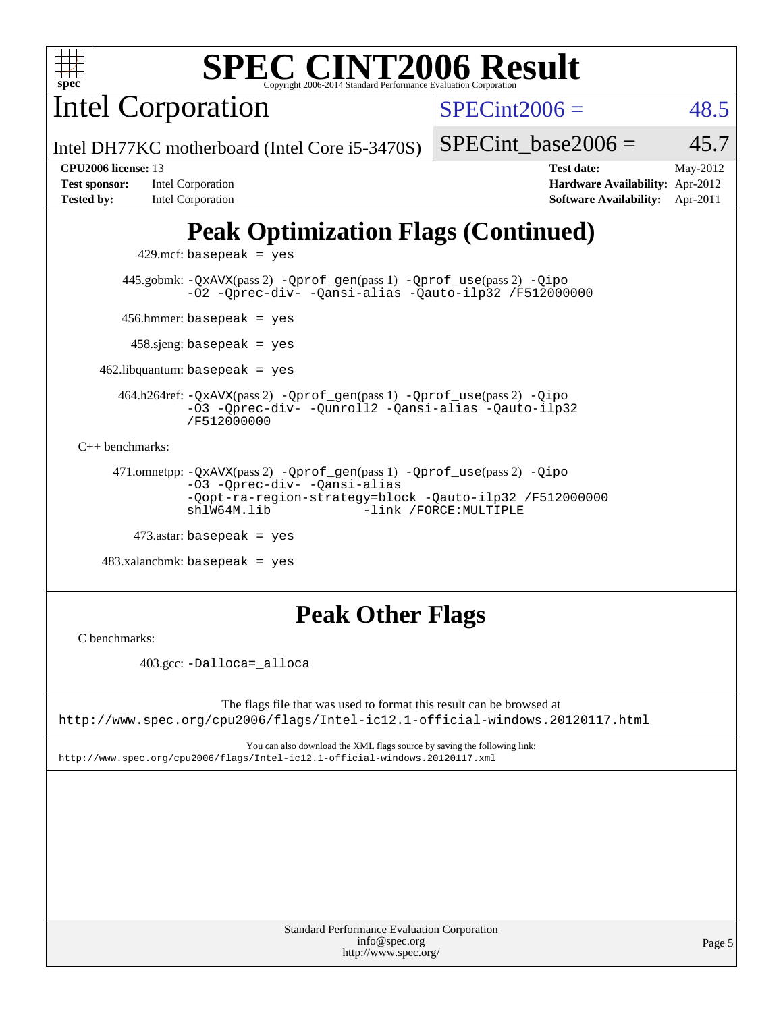

Intel Corporation

 $SPECint2006 = 48.5$  $SPECint2006 = 48.5$ 

Intel DH77KC motherboard (Intel Core i5-3470S)

| <b>Test sponsor:</b> | Intel Corporation |
|----------------------|-------------------|
| Tested by:           | Intel Corporation |

**[CPU2006 license:](http://www.spec.org/auto/cpu2006/Docs/result-fields.html#CPU2006license)** 13 **[Test date:](http://www.spec.org/auto/cpu2006/Docs/result-fields.html#Testdate)** May-2012 **[Hardware Availability:](http://www.spec.org/auto/cpu2006/Docs/result-fields.html#HardwareAvailability)** Apr-2012

**[Software Availability:](http://www.spec.org/auto/cpu2006/Docs/result-fields.html#SoftwareAvailability)** Apr-2011

SPECint base2006 =  $45.7$ 

# **[Peak Optimization Flags \(Continued\)](http://www.spec.org/auto/cpu2006/Docs/result-fields.html#PeakOptimizationFlags)**

 $429$ .mcf: basepeak = yes

 445.gobmk: [-QxAVX](http://www.spec.org/cpu2006/results/res2012q3/cpu2006-20120702-23392.flags.html#user_peakPASS2_CFLAGSPASS2_LDFLAGS445_gobmk_f-QxAVX)(pass 2) [-Qprof\\_gen](http://www.spec.org/cpu2006/results/res2012q3/cpu2006-20120702-23392.flags.html#user_peakPASS1_CFLAGSPASS1_LDFLAGS445_gobmk_Qprof_gen)(pass 1) [-Qprof\\_use](http://www.spec.org/cpu2006/results/res2012q3/cpu2006-20120702-23392.flags.html#user_peakPASS2_CFLAGSPASS2_LDFLAGS445_gobmk_Qprof_use)(pass 2) [-Qipo](http://www.spec.org/cpu2006/results/res2012q3/cpu2006-20120702-23392.flags.html#user_peakOPTIMIZE445_gobmk_f-Qipo) [-O2](http://www.spec.org/cpu2006/results/res2012q3/cpu2006-20120702-23392.flags.html#user_peakOPTIMIZE445_gobmk_f-O2) [-Qprec-div-](http://www.spec.org/cpu2006/results/res2012q3/cpu2006-20120702-23392.flags.html#user_peakOPTIMIZE445_gobmk_f-Qprec-div-) [-Qansi-alias](http://www.spec.org/cpu2006/results/res2012q3/cpu2006-20120702-23392.flags.html#user_peakOPTIMIZE445_gobmk_f-Qansi-alias) [-Qauto-ilp32](http://www.spec.org/cpu2006/results/res2012q3/cpu2006-20120702-23392.flags.html#user_peakCOPTIMIZE445_gobmk_f-Qauto-ilp32) [/F512000000](http://www.spec.org/cpu2006/results/res2012q3/cpu2006-20120702-23392.flags.html#user_peakEXTRA_LDFLAGS445_gobmk_set_stack_space_98438a10eb60aa5f35f4c79d9b9b27b1)

456.hmmer: basepeak = yes

458.sjeng: basepeak = yes

 $462$ .libquantum: basepeak = yes

 464.h264ref: [-QxAVX](http://www.spec.org/cpu2006/results/res2012q3/cpu2006-20120702-23392.flags.html#user_peakPASS2_CFLAGSPASS2_LDFLAGS464_h264ref_f-QxAVX)(pass 2) [-Qprof\\_gen](http://www.spec.org/cpu2006/results/res2012q3/cpu2006-20120702-23392.flags.html#user_peakPASS1_CFLAGSPASS1_LDFLAGS464_h264ref_Qprof_gen)(pass 1) [-Qprof\\_use](http://www.spec.org/cpu2006/results/res2012q3/cpu2006-20120702-23392.flags.html#user_peakPASS2_CFLAGSPASS2_LDFLAGS464_h264ref_Qprof_use)(pass 2) [-Qipo](http://www.spec.org/cpu2006/results/res2012q3/cpu2006-20120702-23392.flags.html#user_peakOPTIMIZE464_h264ref_f-Qipo) [-O3](http://www.spec.org/cpu2006/results/res2012q3/cpu2006-20120702-23392.flags.html#user_peakOPTIMIZE464_h264ref_f-O3) [-Qprec-div-](http://www.spec.org/cpu2006/results/res2012q3/cpu2006-20120702-23392.flags.html#user_peakOPTIMIZE464_h264ref_f-Qprec-div-) [-Qunroll2](http://www.spec.org/cpu2006/results/res2012q3/cpu2006-20120702-23392.flags.html#user_peakOPTIMIZE464_h264ref_f-Qunroll_1d9456aa650e77fc2a0cf43cef3fa08c) [-Qansi-alias](http://www.spec.org/cpu2006/results/res2012q3/cpu2006-20120702-23392.flags.html#user_peakOPTIMIZE464_h264ref_f-Qansi-alias) [-Qauto-ilp32](http://www.spec.org/cpu2006/results/res2012q3/cpu2006-20120702-23392.flags.html#user_peakCOPTIMIZE464_h264ref_f-Qauto-ilp32) [/F512000000](http://www.spec.org/cpu2006/results/res2012q3/cpu2006-20120702-23392.flags.html#user_peakEXTRA_LDFLAGS464_h264ref_set_stack_space_98438a10eb60aa5f35f4c79d9b9b27b1)

[C++ benchmarks:](http://www.spec.org/auto/cpu2006/Docs/result-fields.html#CXXbenchmarks)

 471.omnetpp: [-QxAVX](http://www.spec.org/cpu2006/results/res2012q3/cpu2006-20120702-23392.flags.html#user_peakPASS2_CXXFLAGSPASS2_LDFLAGS471_omnetpp_f-QxAVX)(pass 2) [-Qprof\\_gen](http://www.spec.org/cpu2006/results/res2012q3/cpu2006-20120702-23392.flags.html#user_peakPASS1_CXXFLAGSPASS1_LDFLAGS471_omnetpp_Qprof_gen)(pass 1) [-Qprof\\_use](http://www.spec.org/cpu2006/results/res2012q3/cpu2006-20120702-23392.flags.html#user_peakPASS2_CXXFLAGSPASS2_LDFLAGS471_omnetpp_Qprof_use)(pass 2) [-Qipo](http://www.spec.org/cpu2006/results/res2012q3/cpu2006-20120702-23392.flags.html#user_peakOPTIMIZE471_omnetpp_f-Qipo) [-O3](http://www.spec.org/cpu2006/results/res2012q3/cpu2006-20120702-23392.flags.html#user_peakOPTIMIZE471_omnetpp_f-O3) [-Qprec-div-](http://www.spec.org/cpu2006/results/res2012q3/cpu2006-20120702-23392.flags.html#user_peakOPTIMIZE471_omnetpp_f-Qprec-div-) [-Qansi-alias](http://www.spec.org/cpu2006/results/res2012q3/cpu2006-20120702-23392.flags.html#user_peakOPTIMIZE471_omnetpp_f-Qansi-alias) [-Qopt-ra-region-strategy=block](http://www.spec.org/cpu2006/results/res2012q3/cpu2006-20120702-23392.flags.html#user_peakOPTIMIZE471_omnetpp_f-Qopt-ra-region-strategy_d2240e80a5d9053a1fd400255dbf4159) [-Qauto-ilp32](http://www.spec.org/cpu2006/results/res2012q3/cpu2006-20120702-23392.flags.html#user_peakCXXOPTIMIZE471_omnetpp_f-Qauto-ilp32) [/F512000000](http://www.spec.org/cpu2006/results/res2012q3/cpu2006-20120702-23392.flags.html#user_peakEXTRA_LDFLAGS471_omnetpp_set_stack_space_98438a10eb60aa5f35f4c79d9b9b27b1) -link /FORCE: MULTIPLE

 $473$ .astar: basepeak = yes

 $483.xalanchmk: basepeak = yes$ 

## **[Peak Other Flags](http://www.spec.org/auto/cpu2006/Docs/result-fields.html#PeakOtherFlags)**

[C benchmarks](http://www.spec.org/auto/cpu2006/Docs/result-fields.html#Cbenchmarks):

403.gcc: [-Dalloca=\\_alloca](http://www.spec.org/cpu2006/results/res2012q3/cpu2006-20120702-23392.flags.html#b403.gcc_peakEXTRA_CFLAGS_Dalloca_be3056838c12de2578596ca5467af7f3)

The flags file that was used to format this result can be browsed at <http://www.spec.org/cpu2006/flags/Intel-ic12.1-official-windows.20120117.html>

You can also download the XML flags source by saving the following link: <http://www.spec.org/cpu2006/flags/Intel-ic12.1-official-windows.20120117.xml>

| <b>Standard Performance Evaluation Corporation</b> |
|----------------------------------------------------|
| info@spec.org                                      |
| http://www.spec.org/                               |